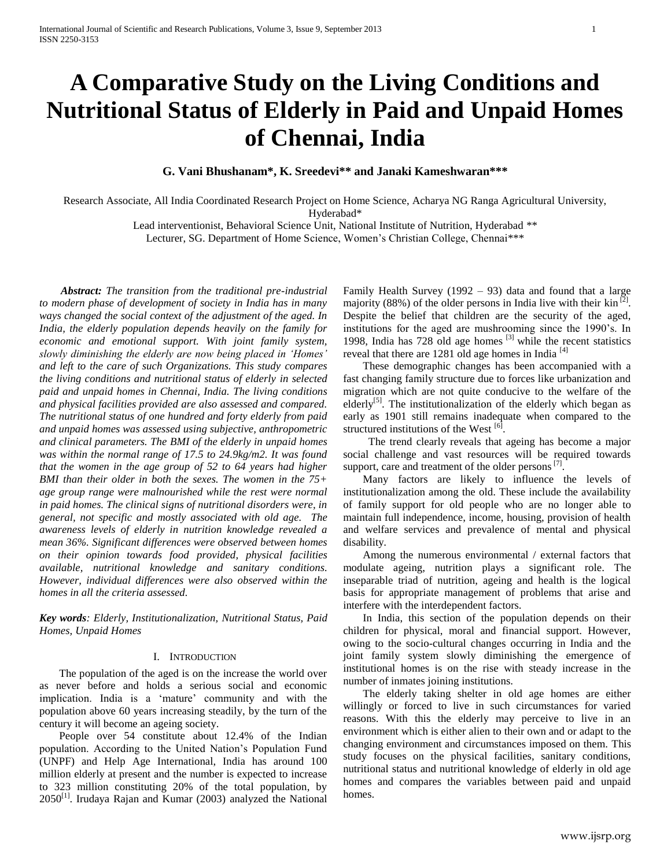# **A Comparative Study on the Living Conditions and Nutritional Status of Elderly in Paid and Unpaid Homes of Chennai, India**

**G. Vani Bhushanam\*, K. Sreedevi\*\* and Janaki Kameshwaran\*\*\*** 

Research Associate, All India Coordinated Research Project on Home Science, Acharya NG Ranga Agricultural University, Hyderabad\*

Lead interventionist, Behavioral Science Unit, National Institute of Nutrition, Hyderabad \*\*

Lecturer, SG. Department of Home Science, Women's Christian College, Chennai\*\*\*

 *Abstract: The transition from the traditional pre-industrial to modern phase of development of society in India has in many ways changed the social context of the adjustment of the aged. In India, the elderly population depends heavily on the family for economic and emotional support. With joint family system, slowly diminishing the elderly are now being placed in 'Homes' and left to the care of such Organizations. This study compares the living conditions and nutritional status of elderly in selected paid and unpaid homes in Chennai, India. The living conditions and physical facilities provided are also assessed and compared. The nutritional status of one hundred and forty elderly from paid and unpaid homes was assessed using subjective, anthropometric and clinical parameters. The BMI of the elderly in unpaid homes was within the normal range of 17.5 to 24.9kg/m2. It was found that the women in the age group of 52 to 64 years had higher BMI than their older in both the sexes. The women in the 75+ age group range were malnourished while the rest were normal in paid homes. The clinical signs of nutritional disorders were, in general, not specific and mostly associated with old age. The awareness levels of elderly in nutrition knowledge revealed a mean 36%. Significant differences were observed between homes on their opinion towards food provided, physical facilities available, nutritional knowledge and sanitary conditions. However, individual differences were also observed within the homes in all the criteria assessed.*

*Key words: Elderly, Institutionalization, Nutritional Status, Paid Homes, Unpaid Homes*

# I. INTRODUCTION

The population of the aged is on the increase the world over as never before and holds a serious social and economic implication. India is a 'mature' community and with the population above 60 years increasing steadily, by the turn of the century it will become an ageing society.

People over 54 constitute about 12.4% of the Indian population. According to the United Nation's Population Fund (UNPF) and Help Age International, India has around 100 million elderly at present and the number is expected to increase to 323 million constituting 20% of the total population, by  $2050$ <sup>[1]</sup>. Irudaya Rajan and Kumar (2003) analyzed the National

Family Health Survey  $(1992 - 93)$  data and found that a large majority (88%) of the older persons in India live with their kin<sup>[2]</sup>. Despite the belief that children are the security of the aged, institutions for the aged are mushrooming since the 1990's. In 1998, India has  $728$  old age homes  $^{[3]}$  while the recent statistics reveal that there are 1281 old age homes in India  $^{[4]}$ 

These demographic changes has been accompanied with a fast changing family structure due to forces like urbanization and migration which are not quite conducive to the welfare of the elderly<sup>[5]</sup>. The institutionalization of the elderly which began as early as 1901 still remains inadequate when compared to the structured institutions of the West  $\left[6\right]$ .

 The trend clearly reveals that ageing has become a major social challenge and vast resources will be required towards support, care and treatment of the older persons $[7]$ .

Many factors are likely to influence the levels of institutionalization among the old. These include the availability of family support for old people who are no longer able to maintain full independence, income, housing, provision of health and welfare services and prevalence of mental and physical disability.

Among the numerous environmental / external factors that modulate ageing, nutrition plays a significant role. The inseparable triad of nutrition, ageing and health is the logical basis for appropriate management of problems that arise and interfere with the interdependent factors.

In India, this section of the population depends on their children for physical, moral and financial support. However, owing to the socio-cultural changes occurring in India and the joint family system slowly diminishing the emergence of institutional homes is on the rise with steady increase in the number of inmates joining institutions.

The elderly taking shelter in old age homes are either willingly or forced to live in such circumstances for varied reasons. With this the elderly may perceive to live in an environment which is either alien to their own and or adapt to the changing environment and circumstances imposed on them. This study focuses on the physical facilities, sanitary conditions, nutritional status and nutritional knowledge of elderly in old age homes and compares the variables between paid and unpaid homes.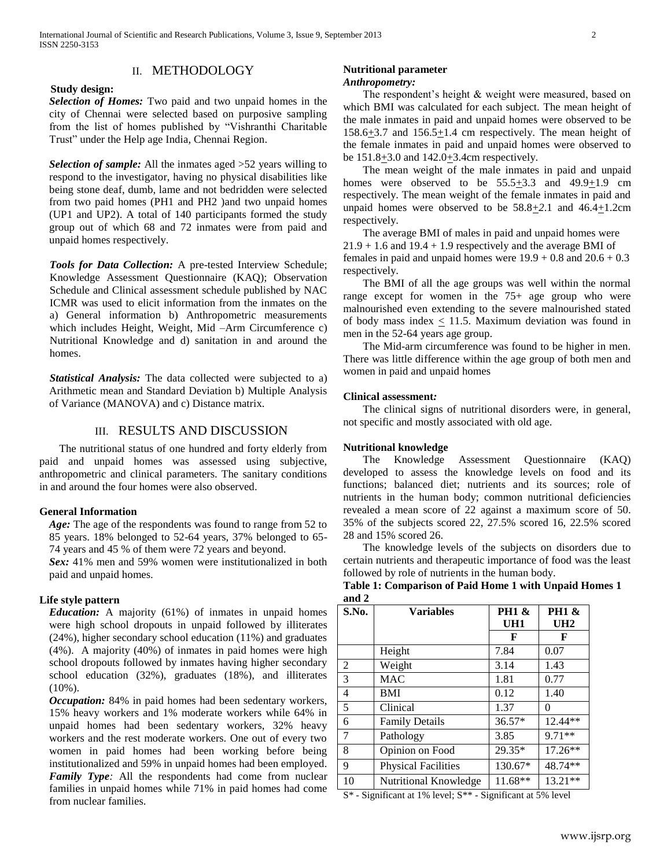# II. METHODOLOGY

## **Study design:**

*Selection of Homes:* Two paid and two unpaid homes in the city of Chennai were selected based on purposive sampling from the list of homes published by "Vishranthi Charitable Trust" under the Help age India, Chennai Region.

*Selection of sample:* All the inmates aged >52 years willing to respond to the investigator, having no physical disabilities like being stone deaf, dumb, lame and not bedridden were selected from two paid homes (PH1 and PH2 )and two unpaid homes (UP1 and UP2). A total of 140 participants formed the study group out of which 68 and 72 inmates were from paid and unpaid homes respectively.

*Tools for Data Collection:* A pre-tested Interview Schedule; Knowledge Assessment Questionnaire (KAQ); Observation Schedule and Clinical assessment schedule published by NAC ICMR was used to elicit information from the inmates on the a) General information b) Anthropometric measurements which includes Height, Weight, Mid –Arm Circumference c) Nutritional Knowledge and d) sanitation in and around the homes.

*Statistical Analysis:* The data collected were subjected to a) Arithmetic mean and Standard Deviation b) Multiple Analysis of Variance (MANOVA) and c) Distance matrix.

## III. RESULTS AND DISCUSSION

The nutritional status of one hundred and forty elderly from paid and unpaid homes was assessed using subjective, anthropometric and clinical parameters. The sanitary conditions in and around the four homes were also observed.

## **General Information**

*Age:* The age of the respondents was found to range from 52 to 85 years. 18% belonged to 52-64 years, 37% belonged to 65- 74 years and 45 % of them were 72 years and beyond.

*Sex:* 41% men and 59% women were institutionalized in both paid and unpaid homes.

## **Life style pattern**

*Education:* A majority (61%) of inmates in unpaid homes were high school dropouts in unpaid followed by illiterates (24%), higher secondary school education (11%) and graduates (4%). A majority (40%) of inmates in paid homes were high school dropouts followed by inmates having higher secondary school education (32%), graduates (18%), and illiterates (10%).

*Occupation:* 84% in paid homes had been sedentary workers, 15% heavy workers and 1% moderate workers while 64% in unpaid homes had been sedentary workers, 32% heavy workers and the rest moderate workers. One out of every two women in paid homes had been working before being institutionalized and 59% in unpaid homes had been employed. *Family Type:* All the respondents had come from nuclear families in unpaid homes while 71% in paid homes had come from nuclear families.

# **Nutritional parameter**

# *Anthropometry:*

The respondent's height & weight were measured, based on which BMI was calculated for each subject. The mean height of the male inmates in paid and unpaid homes were observed to be  $158.6\pm3.7$  and  $156.5\pm1.4$  cm respectively. The mean height of the female inmates in paid and unpaid homes were observed to be  $151.8 \pm 3.0$  and  $142.0 \pm 3.4$ cm respectively.

The mean weight of the male inmates in paid and unpaid homes were observed to be  $55.5 \pm 3.3$  and  $49.9 \pm 1.9$  cm respectively. The mean weight of the female inmates in paid and unpaid homes were observed to be  $58.8 \pm 2.1$  and  $46.4 \pm 1.2$ cm respectively.

The average BMI of males in paid and unpaid homes were  $21.9 + 1.6$  and  $19.4 + 1.9$  respectively and the average BMI of females in paid and unpaid homes were  $19.9 + 0.8$  and  $20.6 + 0.3$ respectively.

The BMI of all the age groups was well within the normal range except for women in the 75+ age group who were malnourished even extending to the severe malnourished stated of body mass index  $<$  11.5. Maximum deviation was found in men in the 52-64 years age group.

The Mid-arm circumference was found to be higher in men. There was little difference within the age group of both men and women in paid and unpaid homes

### **Clinical assessment***:*

The clinical signs of nutritional disorders were, in general, not specific and mostly associated with old age.

#### **Nutritional knowledge**

The Knowledge Assessment Questionnaire (KAQ) developed to assess the knowledge levels on food and its functions; balanced diet; nutrients and its sources; role of nutrients in the human body; common nutritional deficiencies revealed a mean score of 22 against a maximum score of 50. 35% of the subjects scored 22, 27.5% scored 16, 22.5% scored 28 and 15% scored 26.

The knowledge levels of the subjects on disorders due to certain nutrients and therapeutic importance of food was the least followed by role of nutrients in the human body.

**Table 1: Comparison of Paid Home 1 with Unpaid Homes 1 and 2**

| anu <i>2</i><br>S.No. | <b>Variables</b>           | <b>PH1 &amp;</b> | <b>PH1 &amp;</b> |
|-----------------------|----------------------------|------------------|------------------|
|                       |                            | UH1              | UH2              |
|                       |                            | F                | F                |
|                       | Height                     | 7.84             | 0.07             |
| 2                     | Weight                     | 3.14             | 1.43             |
| 3                     | <b>MAC</b>                 | 1.81             | 0.77             |
| $\overline{4}$        | BMI                        | 0.12             | 1.40             |
| 5                     | Clinical                   | 1.37             | 0                |
| 6                     | <b>Family Details</b>      | $36.57*$         | 12.44**          |
| 7                     | Pathology                  | 3.85             | 9.71**           |
| 8                     | Opinion on Food            | 29.35*           | $17.26**$        |
| 9                     | <b>Physical Facilities</b> | 130.67*          | 48.74**          |
| 10                    | Nutritional Knowledge      | 11.68**          | $13.21**$        |

S\* - Significant at 1% level; S\*\* - Significant at 5% level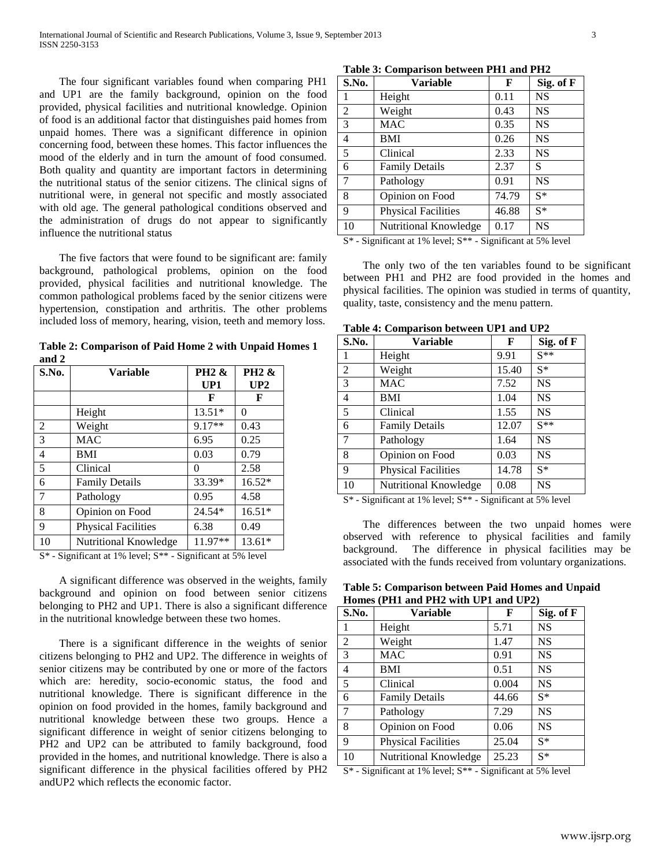The four significant variables found when comparing PH1 and UP1 are the family background, opinion on the food provided, physical facilities and nutritional knowledge. Opinion of food is an additional factor that distinguishes paid homes from unpaid homes. There was a significant difference in opinion concerning food, between these homes. This factor influences the mood of the elderly and in turn the amount of food consumed. Both quality and quantity are important factors in determining the nutritional status of the senior citizens. The clinical signs of nutritional were, in general not specific and mostly associated with old age. The general pathological conditions observed and the administration of drugs do not appear to significantly influence the nutritional status

The five factors that were found to be significant are: family background, pathological problems, opinion on the food provided, physical facilities and nutritional knowledge. The common pathological problems faced by the senior citizens were hypertension, constipation and arthritis. The other problems included loss of memory, hearing, vision, teeth and memory loss.

**Table 2: Comparison of Paid Home 2 with Unpaid Homes 1 and 2**

| S.No.           | <b>Variable</b>            | <b>PH2 &amp;</b><br>UP1 | <b>PH2 &amp;</b><br>UP2 |
|-----------------|----------------------------|-------------------------|-------------------------|
|                 |                            | F                       | F                       |
|                 | Height                     | $13.51*$                | $\theta$                |
| 2               | Weight                     | 9.17**                  | 0.43                    |
| $\overline{3}$  | <b>MAC</b>                 | 6.95                    | 0.25                    |
| $\overline{4}$  | <b>BMI</b>                 | 0.03                    | 0.79                    |
| $5\overline{)}$ | Clinical                   | $\Omega$                | 2.58                    |
| 6               | <b>Family Details</b>      | 33.39*                  | 16.52*                  |
| $\overline{7}$  | Pathology                  | 0.95                    | 4.58                    |
| 8               | Opinion on Food            | 24.54*                  | $16.51*$                |
| 9               | <b>Physical Facilities</b> | 6.38                    | 0.49                    |
| 10              | Nutritional Knowledge      | $11.97**$               | $13.61*$                |

S\* - Significant at 1% level; S\*\* - Significant at 5% level

A significant difference was observed in the weights, family background and opinion on food between senior citizens belonging to PH2 and UP1. There is also a significant difference in the nutritional knowledge between these two homes.

There is a significant difference in the weights of senior citizens belonging to PH2 and UP2. The difference in weights of senior citizens may be contributed by one or more of the factors which are: heredity, socio-economic status, the food and nutritional knowledge. There is significant difference in the opinion on food provided in the homes, family background and nutritional knowledge between these two groups. Hence a significant difference in weight of senior citizens belonging to PH2 and UP2 can be attributed to family background, food provided in the homes, and nutritional knowledge. There is also a significant difference in the physical facilities offered by PH2 andUP2 which reflects the economic factor.

| S.No. | <b>Variable</b>            | F     | Sig. of F |
|-------|----------------------------|-------|-----------|
| 1     | Height                     | 0.11  | <b>NS</b> |
| 2     | Weight                     | 0.43  | <b>NS</b> |
| 3     | MAC                        | 0.35  | <b>NS</b> |
| 4     | <b>BMI</b>                 | 0.26  | <b>NS</b> |
| 5     | Clinical                   | 2.33  | <b>NS</b> |
| 6     | <b>Family Details</b>      | 2.37  | S         |
| 7     | Pathology                  | 0.91  | <b>NS</b> |
| 8     | Opinion on Food            | 74.79 | $S^*$     |
| 9     | <b>Physical Facilities</b> | 46.88 | $S^*$     |
| 10    | Nutritional Knowledge      | 0.17  | <b>NS</b> |

S\* - Significant at 1% level; S\*\* - Significant at 5% level

The only two of the ten variables found to be significant between PH1 and PH2 are food provided in the homes and physical facilities. The opinion was studied in terms of quantity, quality, taste, consistency and the menu pattern.

| S.No. | <b>Variable</b>            | F     | Sig. of F |
|-------|----------------------------|-------|-----------|
| 1     | Height                     | 9.91  | $S**$     |
| 2     | Weight                     | 15.40 | $S^*$     |
| 3     | MAC                        | 7.52  | <b>NS</b> |
| 4     | <b>BMI</b>                 | 1.04  | <b>NS</b> |
| 5     | Clinical                   | 1.55  | <b>NS</b> |
| 6     | <b>Family Details</b>      | 12.07 | $S^{**}$  |
| 7     | Pathology                  | 1.64  | <b>NS</b> |
| 8     | Opinion on Food            | 0.03  | <b>NS</b> |
| 9     | <b>Physical Facilities</b> | 14.78 | $S^*$     |
| 10    | Nutritional Knowledge      | 0.08  | <b>NS</b> |

**Table 4: Comparison between UP1 and UP2**

S\* - Significant at 1% level; S\*\* - Significant at 5% level

The differences between the two unpaid homes were observed with reference to physical facilities and family background. The difference in physical facilities may be associated with the funds received from voluntary organizations.

**Table 5: Comparison between Paid Homes and Unpaid Homes (PH1 and PH2 with UP1 and UP2)**

| S.No.          | Variable                   | F     | Sig. of F |
|----------------|----------------------------|-------|-----------|
|                | Height                     | 5.71  | NS        |
| 2              | Weight                     | 1.47  | <b>NS</b> |
| 3              | MAC                        | 0.91  | <b>NS</b> |
| 4              | <b>BMI</b>                 | 0.51  | NS        |
| 5              | Clinical                   | 0.004 | <b>NS</b> |
| 6              | <b>Family Details</b>      | 44.66 | $S^*$     |
| $\overline{7}$ | Pathology                  | 7.29  | NS        |
| 8              | Opinion on Food            | 0.06  | NS        |
| 9              | <b>Physical Facilities</b> | 25.04 | $S^*$     |
| 10             | Nutritional Knowledge      | 25.23 | $S^*$     |

S\* - Significant at 1% level; S\*\* - Significant at 5% level